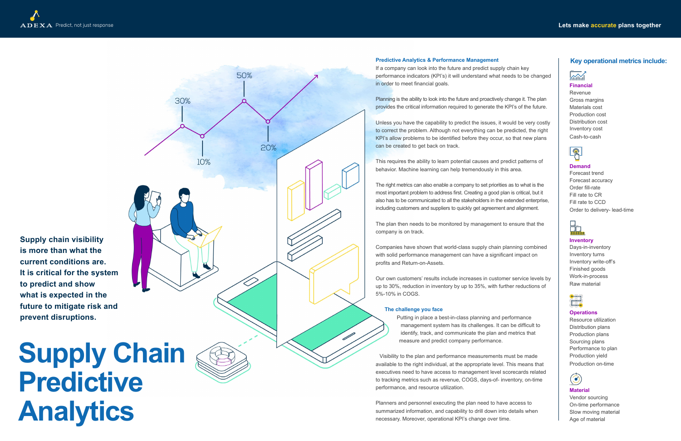# **Supply Chain Predictive Analytics**



**Predictive Analytics & Performance Management**

If a company can look into the future and predict supply chain key performance indicators (KPI's) it will understand what needs to be changed in order to meet financial goals.

Planning is the ability to look into the future and proactively change it. The plan provides the critical information required to generate the KPI's of the future.

Unless you have the capability to predict the issues, it would be very costly to correct the problem. Although not everything can be predicted, the right KPI's allow problems to be identified before they occur, so that new plans can be created to get back on track.

This requires the ability to learn potential causes and predict patterns of behavior. Machine learning can help tremendously in this area.

The right metrics can also enable a company to set priorities as to what is the most important problem to address first. Creating a good plan is critical, but it also has to be communicated to all the stakeholders in the extended enterprise, including customers and suppliers to quickly get agreement and alignment.

The plan then needs to be monitored by management to ensure that the company is on track.

# $\overline{\mathcal{N}}$ **Financial**

Companies have shown that world-class supply chain planning combined with solid performance management can have a significant impact on profits and Return-on-Assets.

Our own customers' results include increases in customer service levels by up to 30%, reduction in inventory by up to 35%, with further reductions of 5%-10% in COGS.

#### **The challenge you face**

Putting in place a best-in-class planning and performance management system has its challenges. It can be difficult to identify, track, and communicate the plan and metrics that measure and predict company performance.

Visibility to the plan and performance measurements must be made available to the right individual, at the appropriate level. This means that executives need to have access to management level scorecards related to tracking metrics such as revenue, COGS, days-of- inventory, on-time performance, and resource utilization.

Planners and personnel executing the plan need to have access to summarized information, and capability to drill down into details when necessary. Moreover, operational KPI's change over time.

## **Key operational metrics include:**

**Supply chain visibility is more than what the current conditions are. It is critical for the system to predict and show what is expected in the future to mitigate risk and prevent disruptions.**

Revenue Gross margins Materials cost Production cost Distribution cost Inventory cost Cash-to-cash



#### **Demand**

Forecast trend Forecast accuracy Order fill-rate Fill rate to CR Fill rate to CCD Order to delivery- lead-time



## **Inventory**

Days-in-inventory Inventory turns Inventory write-off's Finished goods Work-in-process Raw material



## **Operations**

Resource utilization Distribution plans Production plans Sourcing plans Performance to plan Production yield Production on-time



## **Material**

Vendor sourcing On-time performance Slow moving material Age of material